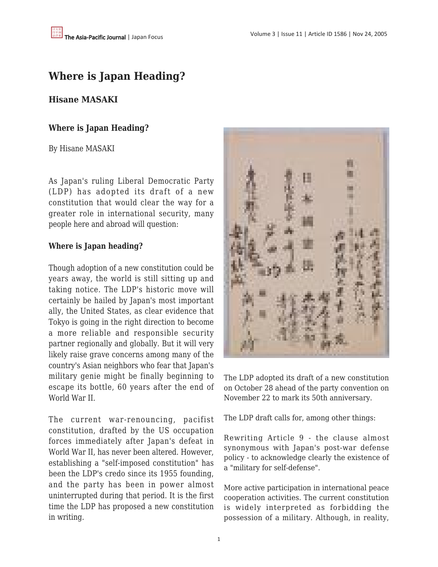# **Where is Japan Heading?**

# **Hisane MASAKI**

# **Where is Japan Heading?**

### By Hisane MASAKI

As Japan's ruling Liberal Democratic Party (LDP) has adopted its draft of a new constitution that would clear the way for a greater role in international security, many people here and abroad will question:

# **Where is Japan heading?**

Though adoption of a new constitution could be years away, the world is still sitting up and taking notice. The LDP's historic move will certainly be hailed by Japan's most important ally, the United States, as clear evidence that Tokyo is going in the right direction to become a more reliable and responsible security partner regionally and globally. But it will very likely raise grave concerns among many of the country's Asian neighbors who fear that Japan's military genie might be finally beginning to escape its bottle, 60 years after the end of World War II.

The current war-renouncing, pacifist constitution, drafted by the US occupation forces immediately after Japan's defeat in World War II, has never been altered. However, establishing a "self-imposed constitution" has been the LDP's credo since its 1955 founding, and the party has been in power almost uninterrupted during that period. It is the first time the LDP has proposed a new constitution in writing.



The LDP adopted its draft of a new constitution on October 28 ahead of the party convention on November 22 to mark its 50th anniversary.

The LDP draft calls for, among other things:

Rewriting Article 9 - the clause almost synonymous with Japan's post-war defense policy - to acknowledge clearly the existence of a "military for self-defense".

More active participation in international peace cooperation activities. The current constitution is widely interpreted as forbidding the possession of a military. Although, in reality,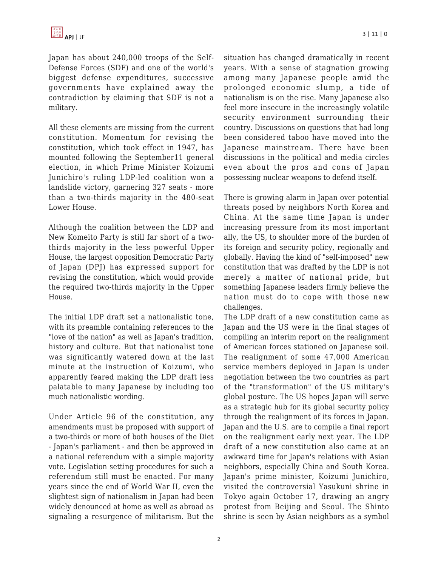Japan has about 240,000 troops of the Self-Defense Forces (SDF) and one of the world's biggest defense expenditures, successive governments have explained away the contradiction by claiming that SDF is not a military.

All these elements are missing from the current constitution. Momentum for revising the constitution, which took effect in 1947, has mounted following the September11 general election, in which Prime Minister Koizumi Junichiro's ruling LDP-led coalition won a landslide victory, garnering 327 seats - more than a two-thirds majority in the 480-seat Lower House.

Although the coalition between the LDP and New Komeito Party is still far short of a twothirds majority in the less powerful Upper House, the largest opposition Democratic Party of Japan (DPJ) has expressed support for revising the constitution, which would provide the required two-thirds majority in the Upper House.

The initial LDP draft set a nationalistic tone, with its preamble containing references to the "love of the nation" as well as Japan's tradition, history and culture. But that nationalist tone was significantly watered down at the last minute at the instruction of Koizumi, who apparently feared making the LDP draft less palatable to many Japanese by including too much nationalistic wording.

Under Article 96 of the constitution, any amendments must be proposed with support of a two-thirds or more of both houses of the Diet - Japan's parliament - and then be approved in a national referendum with a simple majority vote. Legislation setting procedures for such a referendum still must be enacted. For many years since the end of World War II, even the slightest sign of nationalism in Japan had been widely denounced at home as well as abroad as signaling a resurgence of militarism. But the situation has changed dramatically in recent years. With a sense of stagnation growing among many Japanese people amid the prolonged economic slump, a tide of nationalism is on the rise. Many Japanese also feel more insecure in the increasingly volatile security environment surrounding their country. Discussions on questions that had long been considered taboo have moved into the Japanese mainstream. There have been discussions in the political and media circles even about the pros and cons of Japan possessing nuclear weapons to defend itself.

There is growing alarm in Japan over potential threats posed by neighbors North Korea and China. At the same time Japan is under increasing pressure from its most important ally, the US, to shoulder more of the burden of its foreign and security policy, regionally and globally. Having the kind of "self-imposed" new constitution that was drafted by the LDP is not merely a matter of national pride, but something Japanese leaders firmly believe the nation must do to cope with those new challenges.

The LDP draft of a new constitution came as Japan and the US were in the final stages of compiling an interim report on the realignment of American forces stationed on Japanese soil. The realignment of some 47,000 American service members deployed in Japan is under negotiation between the two countries as part of the "transformation" of the US military's global posture. The US hopes Japan will serve as a strategic hub for its global security policy through the realignment of its forces in Japan. Japan and the U.S. are to compile a final report on the realignment early next year. The LDP draft of a new constitution also came at an awkward time for Japan's relations with Asian neighbors, especially China and South Korea. Japan's prime minister, Koizumi Junichiro, visited the controversial Yasukuni shrine in Tokyo again October 17, drawing an angry protest from Beijing and Seoul. The Shinto shrine is seen by Asian neighbors as a symbol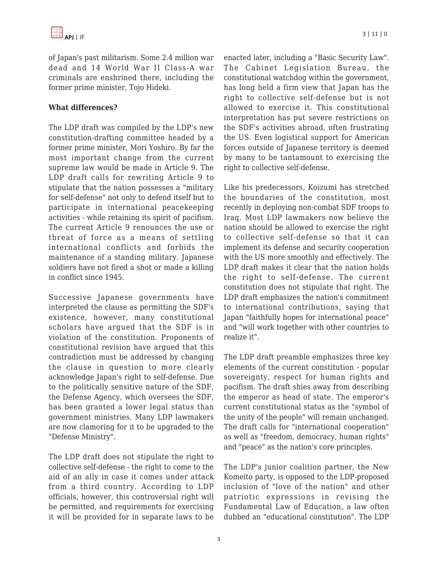of Japan's past militarism. Some 2.4 million war dead and 14 World War II Class-A war criminals are enshrined there, including the former prime minister, Tojo Hideki.

#### **What differences?**

The LDP draft was compiled by the LDP's new constitution-drafting committee headed by a former prime minister, Mori Yoshiro. By far the most important change from the current supreme law would be made in Article 9. The LDP draft calls for rewriting Article 9 to stipulate that the nation possesses a "military for self-defense" not only to defend itself but to participate in international peacekeeping activities - while retaining its spirit of pacifism. The current Article 9 renounces the use or threat of force as a means of settling international conflicts and forbids the maintenance of a standing military. Japanese soldiers have not fired a shot or made a killing in conflict since 1945.

Successive Japanese governments have interpreted the clause as permitting the SDF's existence, however, many constitutional scholars have argued that the SDF is in violation of the constitution. Proponents of constitutional revision have argued that this contradiction must be addressed by changing the clause in question to more clearly acknowledge Japan's right to self-defense. Due to the politically sensitive nature of the SDF, the Defense Agency, which oversees the SDF, has been granted a lower legal status than government ministries. Many LDP lawmakers are now clamoring for it to be upgraded to the "Defense Ministry".

The LDP draft does not stipulate the right to collective self-defense - the right to come to the aid of an ally in case it comes under attack from a third country. According to LDP officials, however, this controversial right will be permitted, and requirements for exercising it will be provided for in separate laws to be enacted later, including a "Basic Security Law". The Cabinet Legislation Bureau, the constitutional watchdog within the government, has long held a firm view that Japan has the right to collective self-defense but is not allowed to exercise it. This constitutional interpretation has put severe restrictions on the SDF's activities abroad, often frustrating the US. Even logistical support for American forces outside of Japanese territory is deemed by many to be tantamount to exercising the right to collective self-defense.

Like his predecessors, Koizumi has stretched the boundaries of the constitution, most recently in deploying non-combat SDF troops to Iraq. Most LDP lawmakers now believe the nation should be allowed to exercise the right to collective self-defense so that it can implement its defense and security cooperation with the US more smoothly and effectively. The LDP draft makes it clear that the nation holds the right to self-defense. The current constitution does not stipulate that right. The LDP draft emphasizes the nation's commitment to international contributions, saying that Japan "faithfully hopes for international peace" and "will work together with other countries to realize it".

The LDP draft preamble emphasizes three key elements of the current constitution - popular sovereignty, respect for human rights and pacifism. The draft shies away from describing the emperor as head of state. The emperor's current constitutional status as the "symbol of the unity of the people" will remain unchanged. The draft calls for "international cooperation" as well as "freedom, democracy, human rights" and "peace" as the nation's core principles.

The LDP's junior coalition partner, the New Komeito party, is opposed to the LDP-proposed inclusion of "love of the nation" and other patriotic expressions in revising the Fundamental Law of Education, a law often dubbed an "educational constitution". The LDP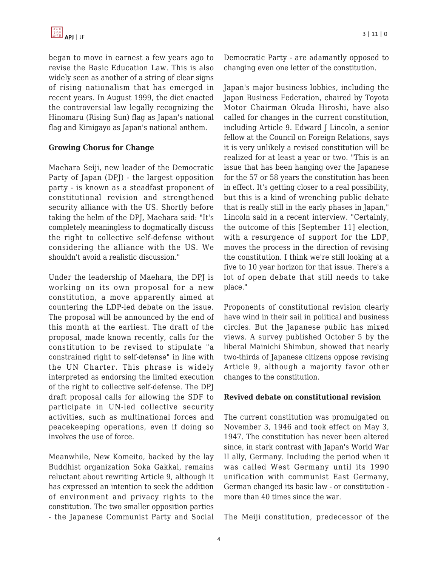began to move in earnest a few years ago to revise the Basic Education Law. This is also widely seen as another of a string of clear signs of rising nationalism that has emerged in recent years. In August 1999, the diet enacted the controversial law legally recognizing the Hinomaru (Rising Sun) flag as Japan's national flag and Kimigayo as Japan's national anthem.

### **Growing Chorus for Change**

Maehara Seiji, new leader of the Democratic Party of Japan (DPJ) - the largest opposition party - is known as a steadfast proponent of constitutional revision and strengthened security alliance with the US. Shortly before taking the helm of the DPJ, Maehara said: "It's completely meaningless to dogmatically discuss the right to collective self-defense without considering the alliance with the US. We shouldn't avoid a realistic discussion."

Under the leadership of Maehara, the DPJ is working on its own proposal for a new constitution, a move apparently aimed at countering the LDP-led debate on the issue. The proposal will be announced by the end of this month at the earliest. The draft of the proposal, made known recently, calls for the constitution to be revised to stipulate "a constrained right to self-defense" in line with the UN Charter. This phrase is widely interpreted as endorsing the limited execution of the right to collective self-defense. The DPJ draft proposal calls for allowing the SDF to participate in UN-led collective security activities, such as multinational forces and peacekeeping operations, even if doing so involves the use of force.

Meanwhile, New Komeito, backed by the lay Buddhist organization Soka Gakkai, remains reluctant about rewriting Article 9, although it has expressed an intention to seek the addition of environment and privacy rights to the constitution. The two smaller opposition parties - the Japanese Communist Party and Social Democratic Party - are adamantly opposed to changing even one letter of the constitution.

Japan's major business lobbies, including the Japan Business Federation, chaired by Toyota Motor Chairman Okuda Hiroshi, have also called for changes in the current constitution, including Article 9. Edward J Lincoln, a senior fellow at the Council on Foreign Relations, says it is very unlikely a revised constitution will be realized for at least a year or two. "This is an issue that has been hanging over the Japanese for the 57 or 58 years the constitution has been in effect. It's getting closer to a real possibility, but this is a kind of wrenching public debate that is really still in the early phases in Japan," Lincoln said in a recent interview. "Certainly, the outcome of this [September 11] election, with a resurgence of support for the LDP, moves the process in the direction of revising the constitution. I think we're still looking at a five to 10 year horizon for that issue. There's a lot of open debate that still needs to take place."

Proponents of constitutional revision clearly have wind in their sail in political and business circles. But the Japanese public has mixed views. A survey published October 5 by the liberal Mainichi Shimbun, showed that nearly two-thirds of Japanese citizens oppose revising Article 9, although a majority favor other changes to the constitution.

#### **Revived debate on constitutional revision**

The current constitution was promulgated on November 3, 1946 and took effect on May 3, 1947. The constitution has never been altered since, in stark contrast with Japan's World War II ally, Germany. Including the period when it was called West Germany until its 1990 unification with communist East Germany, German changed its basic law - or constitution more than 40 times since the war.

The Meiji constitution, predecessor of the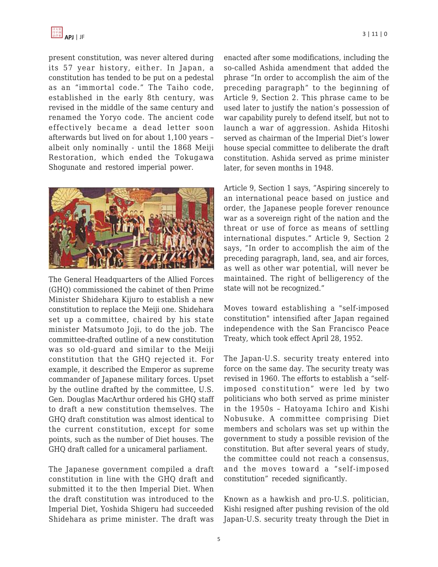present constitution, was never altered during its 57 year history, either. In Japan, a constitution has tended to be put on a pedestal as an "immortal code." The Taiho code, established in the early 8th century, was revised in the middle of the same century and renamed the Yoryo code. The ancient code effectively became a dead letter soon afterwards but lived on for about 1,100 years – albeit only nominally - until the 1868 Meiji Restoration, which ended the Tokugawa Shogunate and restored imperial power.



The General Headquarters of the Allied Forces (GHQ) commissioned the cabinet of then Prime Minister Shidehara Kijuro to establish a new constitution to replace the Meiji one. Shidehara set up a committee, chaired by his state minister Matsumoto Joji, to do the job. The committee-drafted outline of a new constitution was so old-guard and similar to the Meiji constitution that the GHQ rejected it. For example, it described the Emperor as supreme commander of Japanese military forces. Upset by the outline drafted by the committee, U.S. Gen. Douglas MacArthur ordered his GHQ staff to draft a new constitution themselves. The GHQ draft constitution was almost identical to the current constitution, except for some points, such as the number of Diet houses. The GHQ draft called for a unicameral parliament.

The Japanese government compiled a draft constitution in line with the GHQ draft and submitted it to the then Imperial Diet. When the draft constitution was introduced to the Imperial Diet, Yoshida Shigeru had succeeded Shidehara as prime minister. The draft was enacted after some modifications, including the so-called Ashida amendment that added the phrase "In order to accomplish the aim of the preceding paragraph" to the beginning of Article 9, Section 2. This phrase came to be used later to justify the nation's possession of war capability purely to defend itself, but not to launch a war of aggression. Ashida Hitoshi served as chairman of the Imperial Diet's lower house special committee to deliberate the draft constitution. Ashida served as prime minister later, for seven months in 1948.

Article 9, Section 1 says, "Aspiring sincerely to an international peace based on justice and order, the Japanese people forever renounce war as a sovereign right of the nation and the threat or use of force as means of settling international disputes." Article 9, Section 2 says, "In order to accomplish the aim of the preceding paragraph, land, sea, and air forces, as well as other war potential, will never be maintained. The right of belligerency of the state will not be recognized."

Moves toward establishing a "self-imposed constitution" intensified after Japan regained independence with the San Francisco Peace Treaty, which took effect April 28, 1952.

The Japan-U.S. security treaty entered into force on the same day. The security treaty was revised in 1960. The efforts to establish a "selfimposed constitution" were led by two politicians who both served as prime minister in the 1950s – Hatoyama Ichiro and Kishi Nobusuke. A committee comprising Diet members and scholars was set up within the government to study a possible revision of the constitution. But after several years of study, the committee could not reach a consensus, and the moves toward a "self-imposed constitution" receded significantly.

Known as a hawkish and pro-U.S. politician, Kishi resigned after pushing revision of the old Japan-U.S. security treaty through the Diet in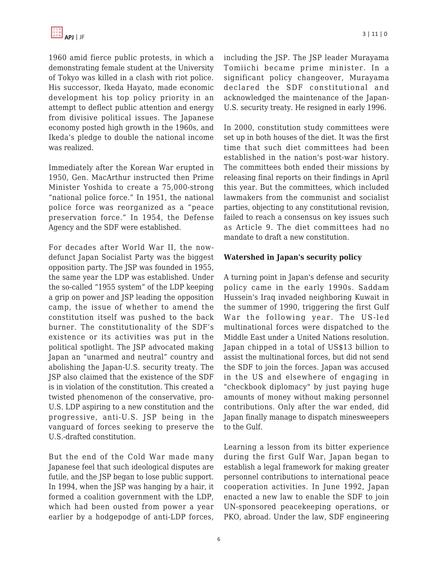1960 amid fierce public protests, in which a demonstrating female student at the University of Tokyo was killed in a clash with riot police. His successor, Ikeda Hayato, made economic development his top policy priority in an attempt to deflect public attention and energy from divisive political issues. The Japanese economy posted high growth in the 1960s, and Ikeda's pledge to double the national income was realized.

Immediately after the Korean War erupted in 1950, Gen. MacArthur instructed then Prime Minister Yoshida to create a 75,000-strong "national police force." In 1951, the national police force was reorganized as a "peace preservation force." In 1954, the Defense Agency and the SDF were established.

For decades after World War II, the nowdefunct Japan Socialist Party was the biggest opposition party. The JSP was founded in 1955, the same year the LDP was established. Under the so-called "1955 system" of the LDP keeping a grip on power and JSP leading the opposition camp, the issue of whether to amend the constitution itself was pushed to the back burner. The constitutionality of the SDF's existence or its activities was put in the political spotlight. The JSP advocated making Japan an "unarmed and neutral" country and abolishing the Japan-U.S. security treaty. The JSP also claimed that the existence of the SDF is in violation of the constitution. This created a twisted phenomenon of the conservative, pro-U.S. LDP aspiring to a new constitution and the progressive, anti-U.S. JSP being in the vanguard of forces seeking to preserve the U.S.-drafted constitution.

But the end of the Cold War made many Japanese feel that such ideological disputes are futile, and the JSP began to lose public support. In 1994, when the JSP was hanging by a hair, it formed a coalition government with the LDP, which had been ousted from power a year earlier by a hodgepodge of anti-LDP forces, including the JSP. The JSP leader Murayama Tomiichi became prime minister. In a significant policy changeover, Murayama declared the SDF constitutional and acknowledged the maintenance of the Japan-U.S. security treaty. He resigned in early 1996.

In 2000, constitution study committees were set up in both houses of the diet. It was the first time that such diet committees had been established in the nation's post-war history. The committees both ended their missions by releasing final reports on their findings in April this year. But the committees, which included lawmakers from the communist and socialist parties, objecting to any constitutional revision, failed to reach a consensus on key issues such as Article 9. The diet committees had no mandate to draft a new constitution.

### **Watershed in Japan's security policy**

A turning point in Japan's defense and security policy came in the early 1990s. Saddam Hussein's Iraq invaded neighboring Kuwait in the summer of 1990, triggering the first Gulf War the following year. The US-led multinational forces were dispatched to the Middle East under a United Nations resolution. Japan chipped in a total of US\$13 billion to assist the multinational forces, but did not send the SDF to join the forces. Japan was accused in the US and elsewhere of engaging in "checkbook diplomacy" by just paying huge amounts of money without making personnel contributions. Only after the war ended, did Japan finally manage to dispatch minesweepers to the Gulf.

Learning a lesson from its bitter experience during the first Gulf War, Japan began to establish a legal framework for making greater personnel contributions to international peace cooperation activities. In June 1992, Japan enacted a new law to enable the SDF to join UN-sponsored peacekeeping operations, or PKO, abroad. Under the law, SDF engineering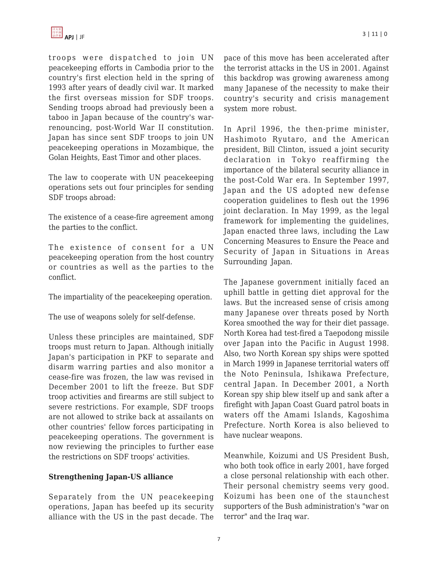

troops were dispatched to join UN peacekeeping efforts in Cambodia prior to the country's first election held in the spring of 1993 after years of deadly civil war. It marked the first overseas mission for SDF troops. Sending troops abroad had previously been a taboo in Japan because of the country's warrenouncing, post-World War II constitution. Japan has since sent SDF troops to join UN peacekeeping operations in Mozambique, the Golan Heights, East Timor and other places.

The law to cooperate with UN peacekeeping operations sets out four principles for sending SDF troops abroad:

The existence of a cease-fire agreement among the parties to the conflict.

The existence of consent for a UN peacekeeping operation from the host country or countries as well as the parties to the conflict.

The impartiality of the peacekeeping operation.

The use of weapons solely for self-defense.

Unless these principles are maintained, SDF troops must return to Japan. Although initially Japan's participation in PKF to separate and disarm warring parties and also monitor a cease-fire was frozen, the law was revised in December 2001 to lift the freeze. But SDF troop activities and firearms are still subject to severe restrictions. For example, SDF troops are not allowed to strike back at assailants on other countries' fellow forces participating in peacekeeping operations. The government is now reviewing the principles to further ease the restrictions on SDF troops' activities.

#### **Strengthening Japan-US alliance**

Separately from the UN peacekeeping operations, Japan has beefed up its security alliance with the US in the past decade. The pace of this move has been accelerated after the terrorist attacks in the US in 2001. Against this backdrop was growing awareness among many Japanese of the necessity to make their country's security and crisis management system more robust.

In April 1996, the then-prime minister, Hashimoto Ryutaro, and the American president, Bill Clinton, issued a joint security declaration in Tokyo reaffirming the importance of the bilateral security alliance in the post-Cold War era. In September 1997, Japan and the US adopted new defense cooperation guidelines to flesh out the 1996 joint declaration. In May 1999, as the legal framework for implementing the guidelines, Japan enacted three laws, including the Law Concerning Measures to Ensure the Peace and Security of Japan in Situations in Areas Surrounding Japan.

The Japanese government initially faced an uphill battle in getting diet approval for the laws. But the increased sense of crisis among many Japanese over threats posed by North Korea smoothed the way for their diet passage. North Korea had test-fired a Taepodong missile over Japan into the Pacific in August 1998. Also, two North Korean spy ships were spotted in March 1999 in Japanese territorial waters off the Noto Peninsula, Ishikawa Prefecture, central Japan. In December 2001, a North Korean spy ship blew itself up and sank after a firefight with Japan Coast Guard patrol boats in waters off the Amami Islands, Kagoshima Prefecture. North Korea is also believed to have nuclear weapons.

Meanwhile, Koizumi and US President Bush, who both took office in early 2001, have forged a close personal relationship with each other. Their personal chemistry seems very good. Koizumi has been one of the staunchest supporters of the Bush administration's "war on terror" and the Iraq war.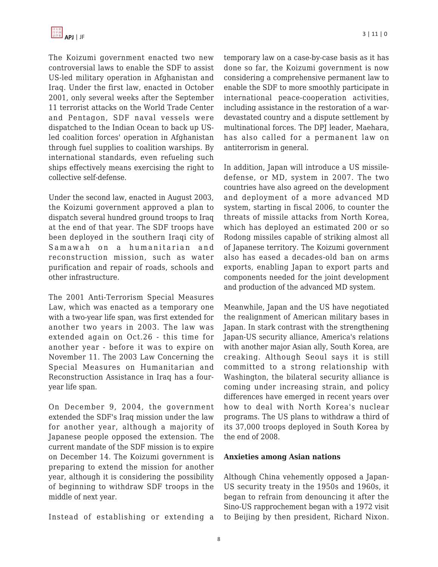The Koizumi government enacted two new controversial laws to enable the SDF to assist US-led military operation in Afghanistan and Iraq. Under the first law, enacted in October 2001, only several weeks after the September 11 terrorist attacks on the World Trade Center and Pentagon, SDF naval vessels were dispatched to the Indian Ocean to back up USled coalition forces' operation in Afghanistan through fuel supplies to coalition warships. By international standards, even refueling such ships effectively means exercising the right to collective self-defense.

Under the second law, enacted in August 2003, the Koizumi government approved a plan to dispatch several hundred ground troops to Iraq at the end of that year. The SDF troops have been deployed in the southern Iraqi city of Samawah on a humanitarian and reconstruction mission, such as water purification and repair of roads, schools and other infrastructure.

The 2001 Anti-Terrorism Special Measures Law, which was enacted as a temporary one with a two-year life span, was first extended for another two years in 2003. The law was extended again on Oct.26 - this time for another year - before it was to expire on November 11. The 2003 Law Concerning the Special Measures on Humanitarian and Reconstruction Assistance in Iraq has a fouryear life span.

On December 9, 2004, the government extended the SDF's Iraq mission under the law for another year, although a majority of Japanese people opposed the extension. The current mandate of the SDF mission is to expire on December 14. The Koizumi government is preparing to extend the mission for another year, although it is considering the possibility of beginning to withdraw SDF troops in the middle of next year.

Instead of establishing or extending a

temporary law on a case-by-case basis as it has done so far, the Koizumi government is now considering a comprehensive permanent law to enable the SDF to more smoothly participate in international peace-cooperation activities, including assistance in the restoration of a wardevastated country and a dispute settlement by multinational forces. The DPJ leader, Maehara, has also called for a permanent law on antiterrorism in general.

In addition, Japan will introduce a US missiledefense, or MD, system in 2007. The two countries have also agreed on the development and deployment of a more advanced MD system, starting in fiscal 2006, to counter the threats of missile attacks from North Korea, which has deployed an estimated 200 or so Rodong missiles capable of striking almost all of Japanese territory. The Koizumi government also has eased a decades-old ban on arms exports, enabling Japan to export parts and components needed for the joint development and production of the advanced MD system.

Meanwhile, Japan and the US have negotiated the realignment of American military bases in Japan. In stark contrast with the strengthening Japan-US security alliance, America's relations with another major Asian ally, South Korea, are creaking. Although Seoul says it is still committed to a strong relationship with Washington, the bilateral security alliance is coming under increasing strain, and policy differences have emerged in recent years over how to deal with North Korea's nuclear programs. The US plans to withdraw a third of its 37,000 troops deployed in South Korea by the end of 2008.

#### **Anxieties among Asian nations**

Although China vehemently opposed a Japan-US security treaty in the 1950s and 1960s, it began to refrain from denouncing it after the Sino-US rapprochement began with a 1972 visit to Beijing by then president, Richard Nixon.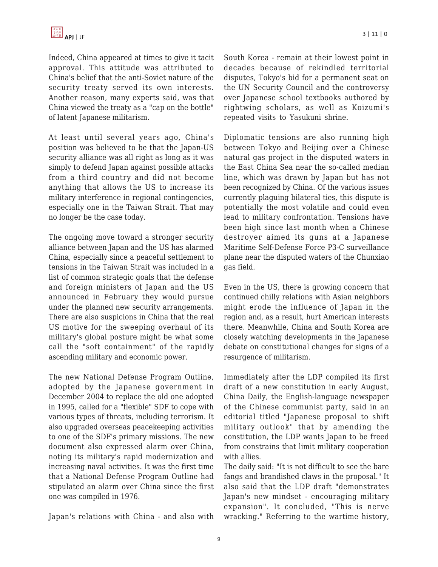Indeed, China appeared at times to give it tacit approval. This attitude was attributed to China's belief that the anti-Soviet nature of the security treaty served its own interests. Another reason, many experts said, was that China viewed the treaty as a "cap on the bottle" of latent Japanese militarism.

At least until several years ago, China's position was believed to be that the Japan-US security alliance was all right as long as it was simply to defend Japan against possible attacks from a third country and did not become anything that allows the US to increase its military interference in regional contingencies, especially one in the Taiwan Strait. That may no longer be the case today.

The ongoing move toward a stronger security alliance between Japan and the US has alarmed China, especially since a peaceful settlement to tensions in the Taiwan Strait was included in a list of common strategic goals that the defense and foreign ministers of Japan and the US announced in February they would pursue under the planned new security arrangements. There are also suspicions in China that the real US motive for the sweeping overhaul of its military's global posture might be what some call the "soft containment" of the rapidly ascending military and economic power.

The new National Defense Program Outline, adopted by the Japanese government in December 2004 to replace the old one adopted in 1995, called for a "flexible" SDF to cope with various types of threats, including terrorism. It also upgraded overseas peacekeeping activities to one of the SDF's primary missions. The new document also expressed alarm over China, noting its military's rapid modernization and increasing naval activities. It was the first time that a National Defense Program Outline had stipulated an alarm over China since the first one was compiled in 1976.

Japan's relations with China - and also with

South Korea - remain at their lowest point in decades because of rekindled territorial disputes, Tokyo's bid for a permanent seat on the UN Security Council and the controversy over Japanese school textbooks authored by rightwing scholars, as well as Koizumi's repeated visits to Yasukuni shrine.

Diplomatic tensions are also running high between Tokyo and Beijing over a Chinese natural gas project in the disputed waters in the East China Sea near the so-called median line, which was drawn by Japan but has not been recognized by China. Of the various issues currently plaguing bilateral ties, this dispute is potentially the most volatile and could even lead to military confrontation. Tensions have been high since last month when a Chinese destroyer aimed its guns at a Japanese Maritime Self-Defense Force P3-C surveillance plane near the disputed waters of the Chunxiao gas field.

Even in the US, there is growing concern that continued chilly relations with Asian neighbors might erode the influence of Japan in the region and, as a result, hurt American interests there. Meanwhile, China and South Korea are closely watching developments in the Japanese debate on constitutional changes for signs of a resurgence of militarism.

Immediately after the LDP compiled its first draft of a new constitution in early August, China Daily, the English-language newspaper of the Chinese communist party, said in an editorial titled "Japanese proposal to shift military outlook" that by amending the constitution, the LDP wants Japan to be freed from constrains that limit military cooperation with allies.

The daily said: "It is not difficult to see the bare fangs and brandished claws in the proposal." It also said that the LDP draft "demonstrates Japan's new mindset - encouraging military expansion". It concluded, "This is nerve wracking." Referring to the wartime history,